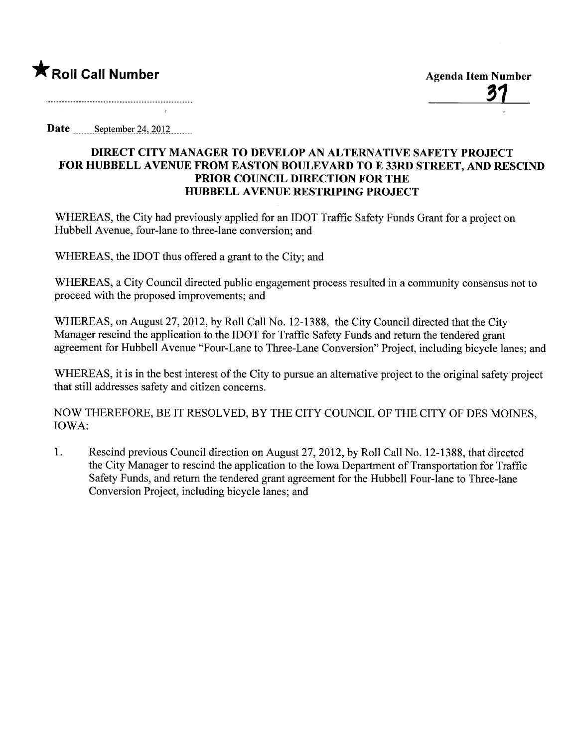

Date September  $24, 2012$ .......

## DIRECT CITY MANAGER TO DEVELOP AN ALTERNATIVE SAFETY PROJECT FOR HUBBELL AVENUE FROM EASTON BOULEVARD TO E 33RD STREET, AND RESCIND PRIOR COUNCIL DIRECTION FOR THE HUBBELL AVENUE RESTRIPING PROJECT

WHEREAS, the City had previously applied for an IDOT Traffic Safety Funds Grant for a project on Hubbell Avenue, four-lane to three-lane conversion; and

WHEREAS, the IDOT thus offered a grant to the City; and

WHEREAS, a City Council directed public engagement process resulted in a community consensus not to proceed with the proposed improvements; and

WHEREAS, on August 27,2012, by Roll Call No. 12-1388, the City Council directed that the City Manager rescind the application to the IDOT for Traffic Safety Funds and return the tendered grant agreement for Hubbell Avenue "Four-Lane to Three-Lane Conversion" Project, including bicycle lanes; and

WHEREAS, it is in the best interest of the City to pursue an alternative project to the original safety project that still addresses safety and citizen concerns.

NOW THEREFORE, BE IT RESOLVED, BY THE CITY COUNCIL OF THE CITY OF DES MOINES, IOWA:

1. Rescind previous Council direction on August 27,2012, by Roll Call No. 12-1388, that directed the City Manager to rescind the application to the Iowa Department of Transportation for Traffic Safety Funds, and return the tendered grant agreement for the Hubbell Four-lane to Three-lane Conversion Project, including bicycle lanes; and